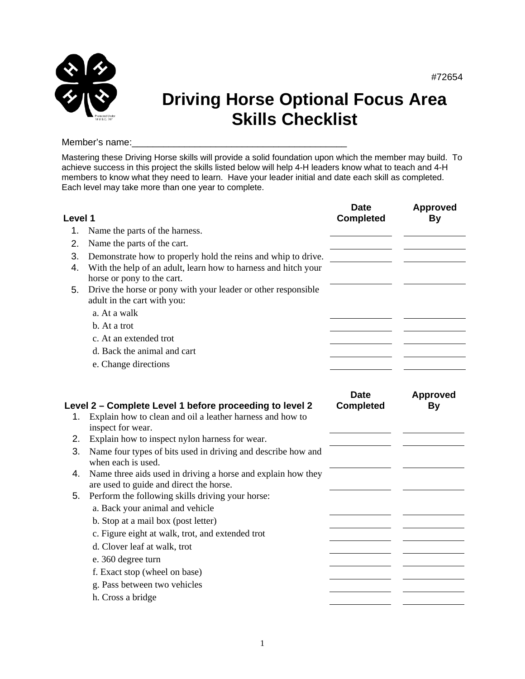

## **Driving Horse Optional Focus Area Skills Checklist**

#72654

## Member's name:

Mastering these Driving Horse skills will provide a solid foundation upon which the member may build. To achieve success in this project the skills listed below will help 4-H leaders know what to teach and 4-H members to know what they need to learn. Have your leader initial and date each skill as completed. Each level may take more than one year to complete.

| Level 1  |                                                                                                                                                               | <b>Date</b><br><b>Completed</b> | <b>Approved</b><br><b>By</b> |
|----------|---------------------------------------------------------------------------------------------------------------------------------------------------------------|---------------------------------|------------------------------|
| 1.       | Name the parts of the harness.                                                                                                                                |                                 |                              |
| 2.       | Name the parts of the cart.                                                                                                                                   |                                 |                              |
| 3.<br>4. | Demonstrate how to properly hold the reins and whip to drive.<br>With the help of an adult, learn how to harness and hitch your<br>horse or pony to the cart. |                                 |                              |
| 5.       | Drive the horse or pony with your leader or other responsible<br>adult in the cart with you:                                                                  |                                 |                              |
|          | a. At a walk                                                                                                                                                  |                                 |                              |
|          | b. At a trot                                                                                                                                                  |                                 |                              |
|          | c. At an extended trot                                                                                                                                        |                                 |                              |
|          | d. Back the animal and cart                                                                                                                                   |                                 |                              |
|          | e. Change directions                                                                                                                                          |                                 |                              |
| 1.       | Level 2 - Complete Level 1 before proceeding to level 2<br>Explain how to clean and oil a leather harness and how to                                          | <b>Date</b><br><b>Completed</b> | <b>Approved</b><br><b>By</b> |
|          | inspect for wear.                                                                                                                                             |                                 |                              |
| 2.       | Explain how to inspect nylon harness for wear.                                                                                                                |                                 |                              |
| 3.       | Name four types of bits used in driving and describe how and<br>when each is used.                                                                            |                                 |                              |
| 4.       | Name three aids used in driving a horse and explain how they<br>are used to guide and direct the horse.                                                       |                                 |                              |
| 5.       | Perform the following skills driving your horse:<br>a. Back your animal and vehicle                                                                           |                                 |                              |
|          | b. Stop at a mail box (post letter)                                                                                                                           |                                 |                              |
|          | c. Figure eight at walk, trot, and extended trot                                                                                                              |                                 |                              |
|          | d. Clover leaf at walk, trot                                                                                                                                  |                                 |                              |
|          | e. 360 degree turn                                                                                                                                            |                                 |                              |
|          | f. Exact stop (wheel on base)                                                                                                                                 |                                 |                              |
|          | g. Pass between two vehicles                                                                                                                                  |                                 |                              |
|          | h. Cross a bridge                                                                                                                                             |                                 |                              |
|          |                                                                                                                                                               |                                 |                              |